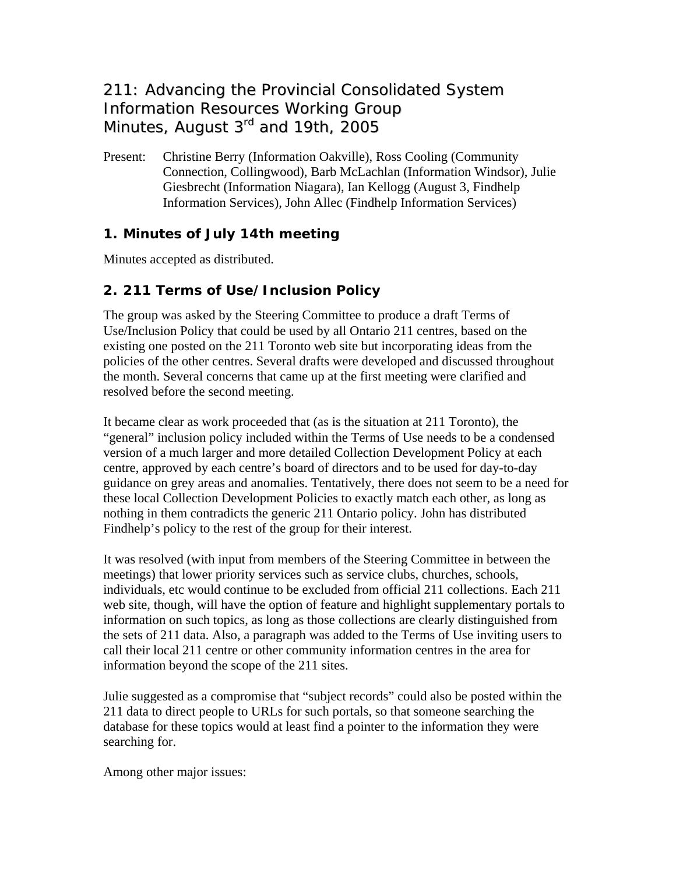# 211: Advancing the Provincial Consolidated System Information Resources Working Group Minutes, August 3<sup>rd</sup> and 19th, 2005

Present: Christine Berry (Information Oakville), Ross Cooling (Community Connection, Collingwood), Barb McLachlan (Information Windsor), Julie Giesbrecht (Information Niagara), Ian Kellogg (August 3, Findhelp Information Services), John Allec (Findhelp Information Services)

### **1. Minutes of July 14th meeting**

Minutes accepted as distributed.

## **2. 211 Terms of Use/Inclusion Policy**

The group was asked by the Steering Committee to produce a draft Terms of Use/Inclusion Policy that could be used by all Ontario 211 centres, based on the existing one posted on the 211 Toronto web site but incorporating ideas from the policies of the other centres. Several drafts were developed and discussed throughout the month. Several concerns that came up at the first meeting were clarified and resolved before the second meeting.

It became clear as work proceeded that (as is the situation at 211 Toronto), the "general" inclusion policy included within the Terms of Use needs to be a condensed version of a much larger and more detailed Collection Development Policy at each centre, approved by each centre's board of directors and to be used for day-to-day guidance on grey areas and anomalies. Tentatively, there does not seem to be a need for these local Collection Development Policies to exactly match each other, as long as nothing in them contradicts the generic 211 Ontario policy. John has distributed Findhelp's policy to the rest of the group for their interest.

It was resolved (with input from members of the Steering Committee in between the meetings) that lower priority services such as service clubs, churches, schools, individuals, etc would continue to be excluded from official 211 collections. Each 211 web site, though, will have the option of feature and highlight supplementary portals to information on such topics, as long as those collections are clearly distinguished from the sets of 211 data. Also, a paragraph was added to the Terms of Use inviting users to call their local 211 centre or other community information centres in the area for information beyond the scope of the 211 sites.

Julie suggested as a compromise that "subject records" could also be posted within the 211 data to direct people to URLs for such portals, so that someone searching the database for these topics would at least find a pointer to the information they were searching for.

Among other major issues: